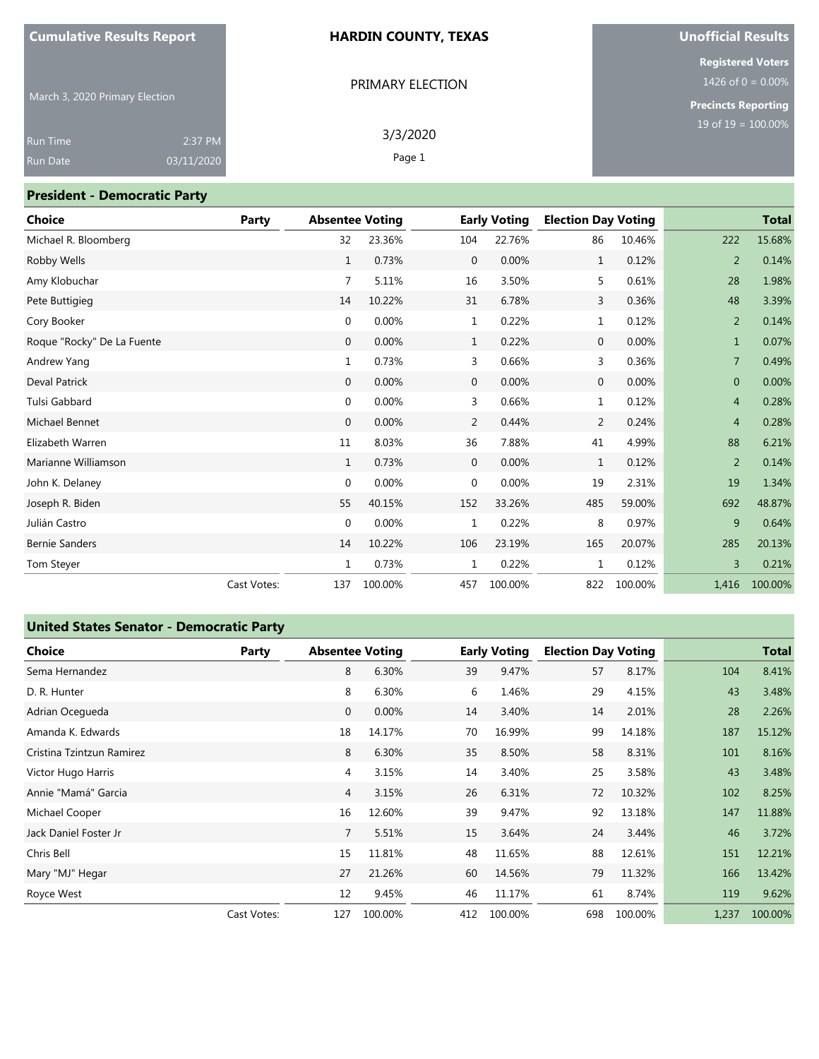#### **HARDIN COUNTY, TEXAS**

PRIMARY ELECTION

## **Unofficial Results**

**Registered Voters** 1426 of  $0 = 0.00\%$ 

**Precincts Reporting**

March 3, 2020 Primary Election

| <b>Run Time</b> | 2:37 PM    | 3/3/2020 |
|-----------------|------------|----------|
| <b>Run Date</b> | 03/11/2020 | Page 1   |
|                 |            |          |

#### **President - Democratic Party**

| <b>Choice</b>              | Party       | <b>Absentee Voting</b> |         |              | <b>Early Voting</b> | <b>Election Day Voting</b> |         |                | <b>Total</b> |
|----------------------------|-------------|------------------------|---------|--------------|---------------------|----------------------------|---------|----------------|--------------|
| Michael R. Bloomberg       |             | 32                     | 23.36%  | 104          | 22.76%              | 86                         | 10.46%  | 222            | 15.68%       |
| Robby Wells                |             | $\mathbf{1}$           | 0.73%   | $\mathbf 0$  | 0.00%               | $\mathbf{1}$               | 0.12%   | 2              | 0.14%        |
| Amy Klobuchar              |             | 7                      | 5.11%   | 16           | 3.50%               | 5                          | 0.61%   | 28             | 1.98%        |
| Pete Buttigieg             |             | 14                     | 10.22%  | 31           | 6.78%               | 3                          | 0.36%   | 48             | 3.39%        |
| Cory Booker                |             | 0                      | 0.00%   | 1            | 0.22%               | $\mathbf{1}$               | 0.12%   | 2              | 0.14%        |
| Roque "Rocky" De La Fuente |             | $\mathbf{0}$           | 0.00%   | $\mathbf{1}$ | 0.22%               | $\mathbf 0$                | 0.00%   | $\mathbf{1}$   | 0.07%        |
| Andrew Yang                |             | 1                      | 0.73%   | 3            | 0.66%               | 3                          | 0.36%   | 7              | 0.49%        |
| <b>Deval Patrick</b>       |             | $\mathbf{0}$           | 0.00%   | $\mathbf 0$  | 0.00%               | $\mathbf 0$                | 0.00%   | $\Omega$       | 0.00%        |
| Tulsi Gabbard              |             | 0                      | 0.00%   | 3            | 0.66%               | $\mathbf{1}$               | 0.12%   | $\overline{4}$ | 0.28%        |
| Michael Bennet             |             | $\mathbf{0}$           | 0.00%   | 2            | 0.44%               | 2                          | 0.24%   | $\overline{4}$ | 0.28%        |
| Elizabeth Warren           |             | 11                     | 8.03%   | 36           | 7.88%               | 41                         | 4.99%   | 88             | 6.21%        |
| Marianne Williamson        |             | $\mathbf{1}$           | 0.73%   | $\mathbf 0$  | 0.00%               | $\mathbf{1}$               | 0.12%   | 2              | 0.14%        |
| John K. Delaney            |             | 0                      | 0.00%   | $\mathbf 0$  | 0.00%               | 19                         | 2.31%   | 19             | 1.34%        |
| Joseph R. Biden            |             | 55                     | 40.15%  | 152          | 33.26%              | 485                        | 59.00%  | 692            | 48.87%       |
| Julián Castro              |             | 0                      | 0.00%   | 1            | 0.22%               | 8                          | 0.97%   | 9              | 0.64%        |
| <b>Bernie Sanders</b>      |             | 14                     | 10.22%  | 106          | 23.19%              | 165                        | 20.07%  | 285            | 20.13%       |
| Tom Steyer                 |             | 1                      | 0.73%   | 1            | 0.22%               | 1                          | 0.12%   | 3              | 0.21%        |
|                            | Cast Votes: | 137                    | 100.00% | 457          | 100.00%             | 822                        | 100.00% | 1,416          | 100.00%      |

#### **United States Senator - Democratic Party**

| <b>Choice</b>             | Party       | <b>Absentee Voting</b> |         |     | <b>Early Voting</b> | <b>Election Day Voting</b> |         |       | <b>Total</b> |
|---------------------------|-------------|------------------------|---------|-----|---------------------|----------------------------|---------|-------|--------------|
| Sema Hernandez            |             | 8                      | 6.30%   | 39  | 9.47%               | 57                         | 8.17%   | 104   | 8.41%        |
| D. R. Hunter              |             | 8                      | 6.30%   | 6   | 1.46%               | 29                         | 4.15%   | 43    | 3.48%        |
| Adrian Ocegueda           |             | 0                      | 0.00%   | 14  | 3.40%               | 14                         | 2.01%   | 28    | 2.26%        |
| Amanda K. Edwards         |             | 18                     | 14.17%  | 70  | 16.99%              | 99                         | 14.18%  | 187   | 15.12%       |
| Cristina Tzintzun Ramirez |             | 8                      | 6.30%   | 35  | 8.50%               | 58                         | 8.31%   | 101   | 8.16%        |
| Victor Hugo Harris        |             | 4                      | 3.15%   | 14  | 3.40%               | 25                         | 3.58%   | 43    | 3.48%        |
| Annie "Mamá" Garcia       |             | $\overline{4}$         | 3.15%   | 26  | 6.31%               | 72                         | 10.32%  | 102   | 8.25%        |
| Michael Cooper            |             | 16                     | 12.60%  | 39  | 9.47%               | 92                         | 13.18%  | 147   | 11.88%       |
| Jack Daniel Foster Jr     |             | 7                      | 5.51%   | 15  | 3.64%               | 24                         | 3.44%   | 46    | 3.72%        |
| Chris Bell                |             | 15                     | 11.81%  | 48  | 11.65%              | 88                         | 12.61%  | 151   | 12.21%       |
| Mary "MJ" Hegar           |             | 27                     | 21.26%  | 60  | 14.56%              | 79                         | 11.32%  | 166   | 13.42%       |
| Royce West                |             | 12                     | 9.45%   | 46  | 11.17%              | 61                         | 8.74%   | 119   | 9.62%        |
|                           | Cast Votes: | 127                    | 100.00% | 412 | 100.00%             | 698                        | 100.00% | 1,237 | 100.00%      |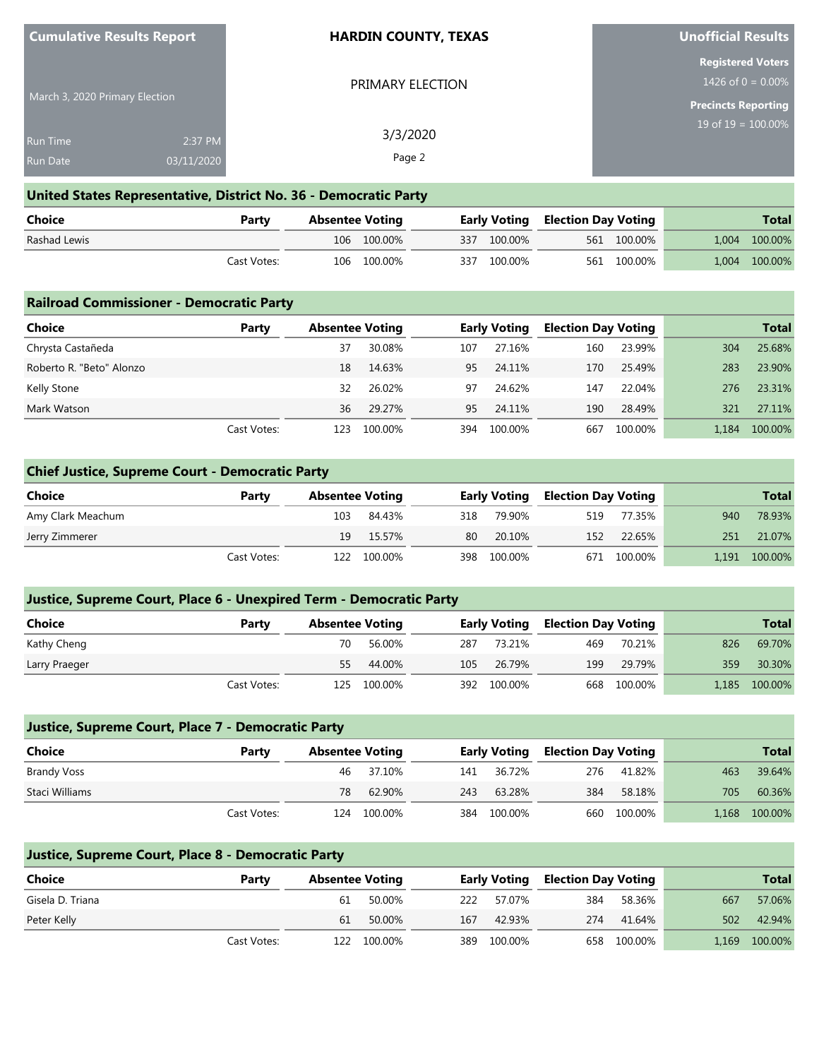| Cumulative Results Report      |            | <b>HARDIN COUNTY, TEXAS</b> | <b>Unofficial Results</b>                        |  |  |
|--------------------------------|------------|-----------------------------|--------------------------------------------------|--|--|
|                                |            | PRIMARY ELECTION            | <b>Registered Voters</b><br>1426 of $0 = 0.00\%$ |  |  |
| March 3, 2020 Primary Election |            |                             | Precincts Reporting                              |  |  |
| <b>Run Time</b>                | 2:37 PM    | 3/3/2020                    | 19 of $19 = 100.00\%$                            |  |  |
| <b>Run Date</b>                | 03/11/2020 | Page 2                      |                                                  |  |  |

# **United States Representative, District No. 36 - Democratic Party**

| Choice       | Party       | <b>Absentee Voting</b> |             |             | <b>Early Voting Election Day Voting</b> |             | <b>Total</b>  |
|--------------|-------------|------------------------|-------------|-------------|-----------------------------------------|-------------|---------------|
| Rashad Lewis |             |                        | 106 100.00% | 337 100.00% |                                         | 561 100.00% | 1,004 100.00% |
|              | Cast Votes: |                        | 106 100.00% | 337 100.00% |                                         | 561 100.00% | 1,004 100.00% |

| <b>Railroad Commissioner - Democratic Party</b> |             |                        |         |     |                     |                            |         |       |              |  |  |
|-------------------------------------------------|-------------|------------------------|---------|-----|---------------------|----------------------------|---------|-------|--------------|--|--|
| Choice                                          | Party       | <b>Absentee Voting</b> |         |     | <b>Early Voting</b> | <b>Election Day Voting</b> |         |       | <b>Total</b> |  |  |
| Chrysta Castañeda                               |             | 37                     | 30.08%  | 107 | 27.16%              | 160                        | 23.99%  | 304   | 25.68%       |  |  |
| Roberto R. "Beto" Alonzo                        |             | 18                     | 14.63%  | 95  | 24.11%              | 170                        | 25.49%  | 283   | 23.90%       |  |  |
| Kelly Stone                                     |             | 32                     | 26.02%  | 97  | 24.62%              | 147                        | 22.04%  | 276   | 23.31%       |  |  |
| Mark Watson                                     |             | 36                     | 29.27%  | 95  | 24.11%              | 190                        | 28.49%  | 321   | 27.11%       |  |  |
|                                                 | Cast Votes: | 123                    | 100.00% | 394 | 100.00%             | 667                        | 100.00% | 1.184 | 100.00%      |  |  |

### **Chief Justice, Supreme Court - Democratic Party**

| Choice            | Party       | <b>Absentee Voting</b> |             |     | <b>Early Voting</b> | <b>Election Day Voting</b> |             |     | <b>Total</b>  |
|-------------------|-------------|------------------------|-------------|-----|---------------------|----------------------------|-------------|-----|---------------|
| Amy Clark Meachum |             | 103                    | 84.43%      | 318 | 79.90%              | 519                        | 77.35%      | 940 | 78.93%        |
| Jerry Zimmerer    |             | 19                     | 15.57%      | 80  | 20.10%              | 152                        | 22.65%      | 251 | 21.07%        |
|                   | Cast Votes: |                        | 122 100.00% |     | 398 100.00%         |                            | 671 100.00% |     | 1,191 100.00% |

| Justice, Supreme Court, Place 6 - Unexpired Term - Democratic Party |  |
|---------------------------------------------------------------------|--|
|---------------------------------------------------------------------|--|

| <b>Choice</b> | Party       | <b>Absentee Voting</b> |             |     | <b>Early Voting</b> | <b>Election Day Voting</b> |             |     | <b>Total</b>  |
|---------------|-------------|------------------------|-------------|-----|---------------------|----------------------------|-------------|-----|---------------|
| Kathy Cheng   |             | 70.                    | 56.00%      | 287 | 73.21%              | 469                        | 70.21%      | 826 | 69.70%        |
| Larry Praeger |             | 55                     | 44.00%      | 105 | 26.79%              | 199                        | 29.79%      | 359 | 30.30%        |
|               | Cast Votes: |                        | 125 100.00% |     | 392 100.00%         |                            | 668 100.00% |     | 1,185 100.00% |

| Justice, Supreme Court, Place 7 - Democratic Party |             |                        |         |     |                     |                            |         |       |              |  |  |  |
|----------------------------------------------------|-------------|------------------------|---------|-----|---------------------|----------------------------|---------|-------|--------------|--|--|--|
| Choice                                             | Party       | <b>Absentee Voting</b> |         |     | <b>Early Voting</b> | <b>Election Day Voting</b> |         |       | <b>Total</b> |  |  |  |
| Brandy Voss                                        |             | 46                     | 37.10%  | 141 | 36.72%              | 276                        | 41.82%  | 463   | 39.64%       |  |  |  |
| Staci Williams                                     |             | 78                     | 62.90%  | 243 | 63.28%              | 384                        | 58.18%  | 705   | 60.36%       |  |  |  |
|                                                    | Cast Votes: | 124                    | 100.00% | 384 | 100.00%             | 660                        | 100.00% | 1.168 | 100.00%      |  |  |  |

| Justice, Supreme Court, Place 8 - Democratic Party |             |                        |         |     |                     |                            |             |       |              |  |
|----------------------------------------------------|-------------|------------------------|---------|-----|---------------------|----------------------------|-------------|-------|--------------|--|
| Choice                                             | Party       | <b>Absentee Voting</b> |         |     | <b>Early Voting</b> | <b>Election Day Voting</b> |             |       | <b>Total</b> |  |
| Gisela D. Triana                                   |             | 61                     | 50.00%  | 222 | 57 07%              | 384                        | 58.36%      | 667   | 57.06%       |  |
| Peter Kelly                                        |             | 61                     | 50.00%  | 167 | 42.93%              | 274                        | 41.64%      | 502   | 42.94%       |  |
|                                                    | Cast Votes: | 122                    | 100.00% | 389 | 100.00%             |                            | 658 100.00% | 1.169 | 100.00%      |  |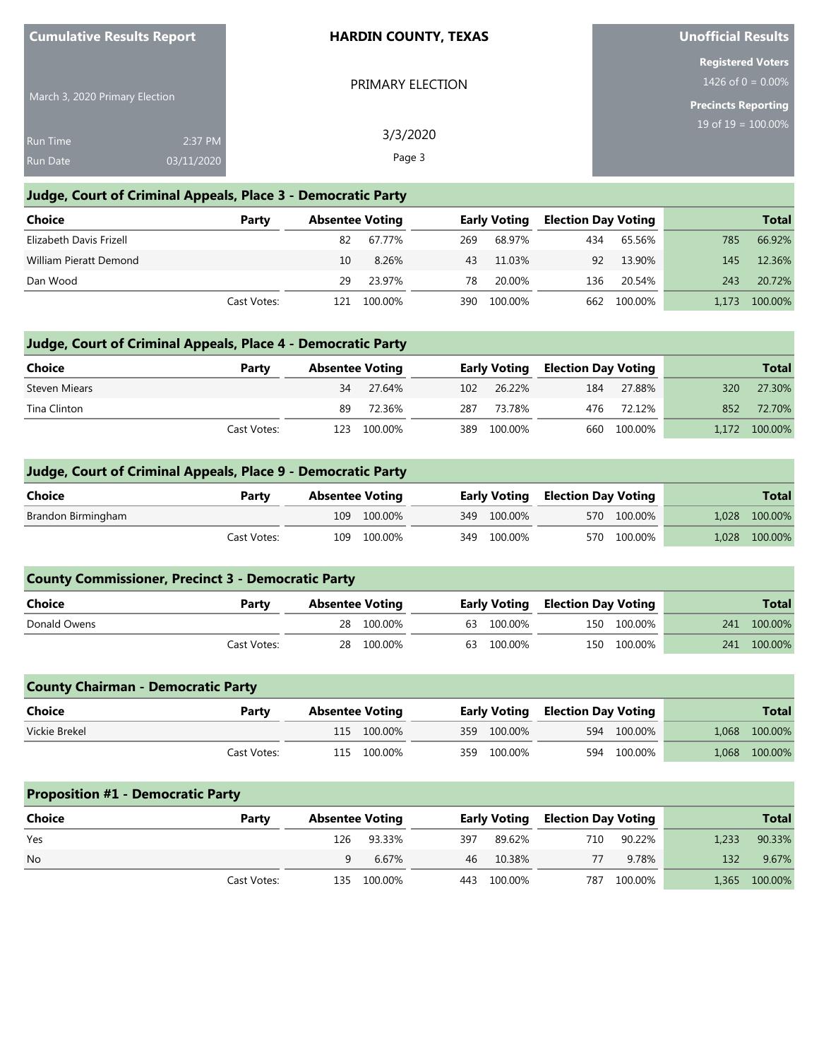| <b>Cumulative Results Report</b> |                       | <b>HARDIN COUNTY, TEXAS</b> | <b>Unofficial Results</b>                        |
|----------------------------------|-----------------------|-----------------------------|--------------------------------------------------|
|                                  |                       | PRIMARY ELECTION            | <b>Registered Voters</b><br>1426 of $0 = 0.00\%$ |
| March 3, 2020 Primary Election   |                       |                             | <b>Precincts Reporting</b>                       |
| <b>Run Time</b><br>Run Date      | 2:37 PM<br>03/11/2020 | 3/3/2020<br>Page 3          | $19$ of $19 = 100.00\%$                          |
|                                  |                       |                             |                                                  |

### **Judge, Court of Criminal Appeals, Place 3 - Democratic Party**

| <b>Choice</b>           | Party       | <b>Absentee Voting</b> |         | <b>Early Voting</b> |         | <b>Election Day Voting</b> |         |       | <b>Total</b> |
|-------------------------|-------------|------------------------|---------|---------------------|---------|----------------------------|---------|-------|--------------|
| Elizabeth Davis Frizell |             | 82                     | 67.77%  | 269                 | 68.97%  | 434                        | 65.56%  | 785   | 66.92%       |
| William Pieratt Demond  |             | 10                     | 8.26%   | 43                  | 11.03%  | 92                         | 13.90%  | 145   | 12.36%       |
| Dan Wood                |             | 29                     | 23.97%  | 78                  | 20.00%  | 136                        | 20.54%  | 243   | 20.72%       |
|                         | Cast Votes: | 121                    | 100.00% | 390                 | 100.00% | 662                        | 100.00% | 1.173 | 100.00%      |

### **Judge, Court of Criminal Appeals, Place 4 - Democratic Party**

| Choice        | Party       | <b>Absentee Voting</b> |             |     | <b>Early Voting</b> |     | <b>Election Day Voting</b> |     | <b>Total</b>  |
|---------------|-------------|------------------------|-------------|-----|---------------------|-----|----------------------------|-----|---------------|
| Steven Miears |             | 34                     | 27.64%      |     | 102 26.22%          | 184 | 27.88%                     | 320 | 27.30%        |
| Tina Clinton  |             | 89                     | 72.36%      | 287 | 73.78%              | 476 | 72.12%                     | 852 | 72.70%        |
|               | Cast Votes: |                        | 123 100.00% |     | 389 100.00%         |     | 660 100.00%                |     | 1,172 100.00% |

#### **Judge, Court of Criminal Appeals, Place 9 - Democratic Party**

| Choice<br>Party    | <b>Absentee Voting</b> |  |             |  | <b>Early Voting Election Day Voting</b> |  | Total         |
|--------------------|------------------------|--|-------------|--|-----------------------------------------|--|---------------|
| Brandon Birmingham | 109 100.00%            |  | 349 100.00% |  | 570 100.00%                             |  | 1,028 100.00% |
| Cast Votes:        | 109 100.00%            |  | 349 100.00% |  | 570 100.00%                             |  | 1,028 100.00% |

| <b>County Commissioner, Precinct 3 - Democratic Party</b> |             |  |                        |  |                     |  |                            |     |              |  |
|-----------------------------------------------------------|-------------|--|------------------------|--|---------------------|--|----------------------------|-----|--------------|--|
| <b>Choice</b><br>Party                                    |             |  | <b>Absentee Voting</b> |  | <b>Early Voting</b> |  | <b>Election Day Voting</b> |     | <b>Total</b> |  |
| Donald Owens                                              |             |  | 28 100.00%             |  | 63 100.00%          |  | 150 100.00%                | 241 | 100.00%      |  |
|                                                           | Cast Votes: |  | 28 100.00%             |  | 63 100.00%          |  | 150 100.00%                | 241 | 100.00%      |  |

| <b>County Chairman - Democratic Party</b> |             |                        |             |  |             |                                         |             |  |               |  |
|-------------------------------------------|-------------|------------------------|-------------|--|-------------|-----------------------------------------|-------------|--|---------------|--|
| Choice                                    | Party       | <b>Absentee Voting</b> |             |  |             | <b>Early Voting Election Day Voting</b> |             |  | <b>Total</b>  |  |
| Vickie Brekel                             |             |                        | 115 100.00% |  | 359 100.00% |                                         | 594 100.00% |  | 1,068 100.00% |  |
|                                           | Cast Votes: |                        | 115 100.00% |  | 359 100.00% |                                         | 594 100.00% |  | 1,068 100.00% |  |

### **Proposition #1 - Democratic Party**

| Choice    | Party       | <b>Absentee Voting</b> |             |     |             | <b>Early Voting Election Day Voting</b> |             |                  | <b>Total</b>  |
|-----------|-------------|------------------------|-------------|-----|-------------|-----------------------------------------|-------------|------------------|---------------|
| Yes       |             |                        | 126 93.33%  | 397 | 89.62%      | 710                                     | 90.22%      | 1.233            | 90.33%        |
| <b>No</b> |             |                        | 6.67%       |     | 46 10.38%   | 77                                      | 9.78%       | 132 <sup>2</sup> | 9.67%         |
|           | Cast Votes: |                        | 135 100.00% |     | 443 100.00% |                                         | 787 100.00% |                  | 1,365 100.00% |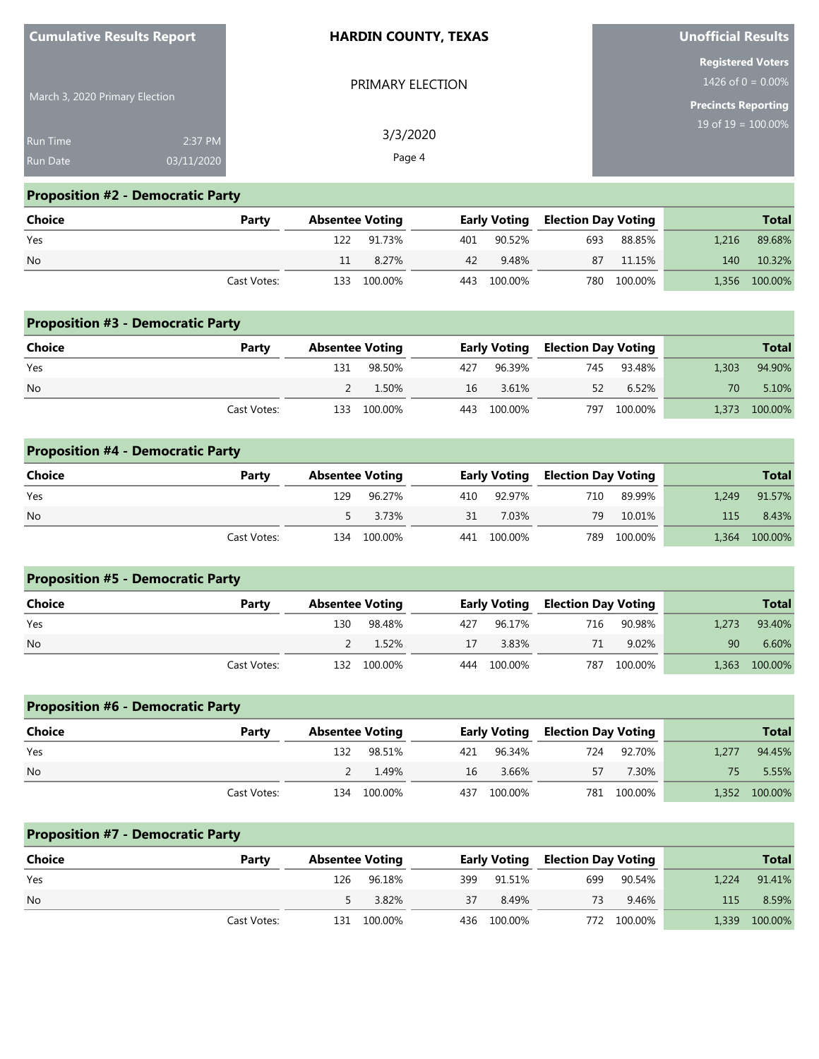| <b>Cumulative Results Report</b> |            | <b>HARDIN COUNTY, TEXAS</b> | <b>Unofficial Results</b>                        |
|----------------------------------|------------|-----------------------------|--------------------------------------------------|
|                                  |            | PRIMARY ELECTION            | <b>Registered Voters</b><br>1426 of $0 = 0.00\%$ |
| March 3, 2020 Primary Election   |            |                             | <b>Precincts Reporting</b>                       |
| Run Time                         | 2:37 PM    | 3/3/2020                    | 19 of $19 = 100.00\%$                            |
| <b>Run Date</b>                  | 03/11/2020 | Page 4                      |                                                  |

# **Proposition #2 - Democratic Party**

| <b>Choice</b> | Party       | <b>Absentee Voting</b> |             |    |             |     | <b>Early Voting Election Day Voting</b> |       | <b>Total</b>  |
|---------------|-------------|------------------------|-------------|----|-------------|-----|-----------------------------------------|-------|---------------|
| Yes           |             |                        | 122 91.73%  |    | 401 90.52%  | 693 | 88.85%                                  | 1.216 | 89.68%        |
| <b>No</b>     |             | 11                     | 8.27%       | 42 | 9.48%       |     | 87 11.15%                               |       | 140 10.32%    |
|               | Cast Votes: |                        | 133 100.00% |    | 443 100.00% |     | 780 100.00%                             |       | 1,356 100.00% |

| <b>Proposition #3 - Democratic Party</b> |             |                        |             |     |                     |                            |             |       |              |  |  |
|------------------------------------------|-------------|------------------------|-------------|-----|---------------------|----------------------------|-------------|-------|--------------|--|--|
| Choice<br>Party                          |             | <b>Absentee Voting</b> |             |     | <b>Early Voting</b> | <b>Election Day Voting</b> |             |       | <b>Total</b> |  |  |
| Yes                                      |             | 131                    | 98.50%      | 427 | 96.39%              | 745                        | 93.48%      | 1.303 | 94.90%       |  |  |
| <b>No</b>                                |             |                        | 1.50%       | 16  | 3.61%               | 52                         | 6.52%       | 70    | 5.10%        |  |  |
|                                          | Cast Votes: |                        | 133 100.00% |     | 443 100.00%         |                            | 797 100.00% | 1.373 | 100.00%      |  |  |

| <b>Proposition #4 - Democratic Party</b> |             |                        |         |    |                     |     |                            |              |         |  |  |
|------------------------------------------|-------------|------------------------|---------|----|---------------------|-----|----------------------------|--------------|---------|--|--|
| Choice<br>Party                          |             | <b>Absentee Voting</b> |         |    | <b>Early Voting</b> |     | <b>Election Day Voting</b> | <b>Total</b> |         |  |  |
| Yes                                      |             | 129                    | 96.27%  |    | 410 92.97%          | 710 | 89.99%                     | 1.249        | 91.57%  |  |  |
| <b>No</b>                                |             |                        | 3.73%   | 31 | 7.03%               | 79  | 10.01%                     | 115          | 8.43%   |  |  |
|                                          | Cast Votes: | 134                    | 100.00% |    | 441 100.00%         | 789 | 100.00%                    | 1,364        | 100.00% |  |  |

| <b>Proposition #5 - Democratic Party</b> |             |                        |             |     |                                         |     |         |       |              |  |
|------------------------------------------|-------------|------------------------|-------------|-----|-----------------------------------------|-----|---------|-------|--------------|--|
| Choice                                   | Party       | <b>Absentee Voting</b> |             |     | <b>Early Voting Election Day Voting</b> |     |         |       | <b>Total</b> |  |
| Yes                                      |             | 130                    | 98.48%      | 427 | 96.17%                                  | 716 | 90.98%  | 1.273 | 93.40%       |  |
| <b>No</b>                                |             |                        | 1.52%       | 17  | 3.83%                                   | 71  | 9.02%   | 90    | 6.60%        |  |
|                                          | Cast Votes: |                        | 132 100.00% | 444 | 100.00%                                 | 787 | 100.00% | 1.363 | 100.00%      |  |

| <b>Proposition #6 - Democratic Party</b> |             |                        |             |                                         |             |     |             |              |               |  |  |
|------------------------------------------|-------------|------------------------|-------------|-----------------------------------------|-------------|-----|-------------|--------------|---------------|--|--|
| Choice                                   | Party       | <b>Absentee Voting</b> |             | <b>Early Voting Election Day Voting</b> |             |     |             | <b>Total</b> |               |  |  |
| Yes                                      |             | 132                    | 98.51%      | 421                                     | 96.34%      | 724 | 92.70%      | 1.277        | 94.45%        |  |  |
| <b>No</b>                                |             |                        | 1.49%       | 16                                      | 3.66%       | 57  | 7.30%       |              | 5.55%         |  |  |
|                                          | Cast Votes: |                        | 134 100.00% |                                         | 437 100.00% |     | 781 100.00% |              | 1,352 100.00% |  |  |

| <b>Proposition #7 - Democratic Party</b> |             |                        |         |     |                     |     |                            |       |              |  |
|------------------------------------------|-------------|------------------------|---------|-----|---------------------|-----|----------------------------|-------|--------------|--|
| <b>Choice</b>                            | Party       | <b>Absentee Voting</b> |         |     | <b>Early Voting</b> |     | <b>Election Day Voting</b> |       | <b>Total</b> |  |
| Yes                                      |             | 126                    | 96.18%  | 399 | 91.51%              | 699 | 90.54%                     | 1.224 | 91.41%       |  |
| <b>No</b>                                |             |                        | 3.82%   | 37  | 8.49%               | 73  | 9.46%                      | 115   | 8.59%        |  |
|                                          | Cast Votes: | 131                    | 100.00% |     | 436 100.00%         |     | 772 100.00%                | 1,339 | 100.00%      |  |